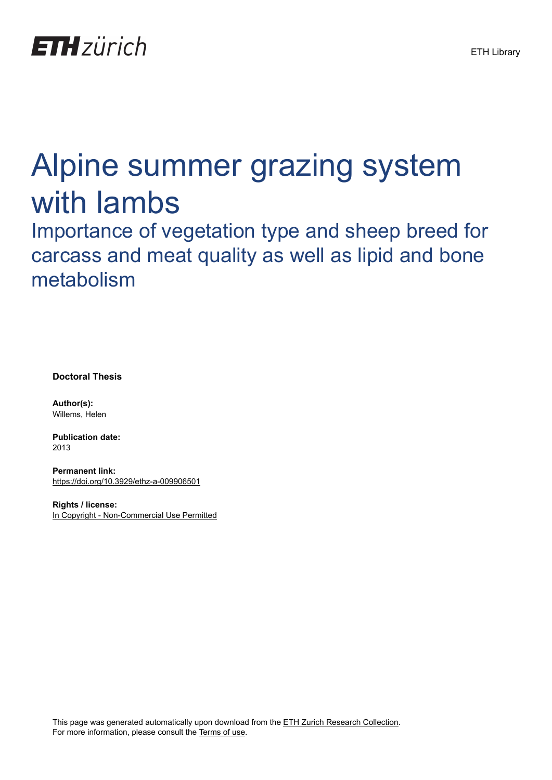

## Alpine summer grazing system with lambs

Importance of vegetation type and sheep breed for carcass and meat quality as well as lipid and bone metabolism

**Doctoral Thesis**

**Author(s):** Willems, Helen

**Publication date:** 2013

**Permanent link:** <https://doi.org/10.3929/ethz-a-009906501>

**Rights / license:** [In Copyright - Non-Commercial Use Permitted](http://rightsstatements.org/page/InC-NC/1.0/)

This page was generated automatically upon download from the [ETH Zurich Research Collection.](https://www.research-collection.ethz.ch) For more information, please consult the [Terms of use](https://www.research-collection.ethz.ch/terms-of-use).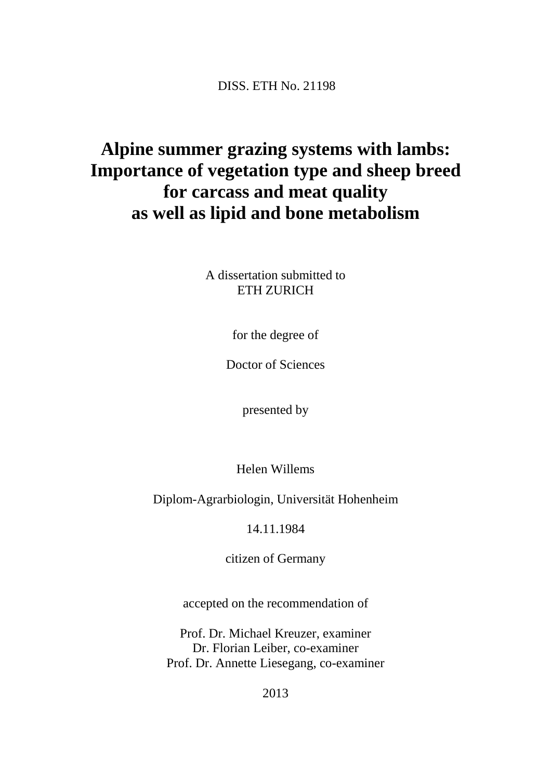DISS. ETH No. 21198

## **Alpine summer grazing systems with lambs: Importance of vegetation type and sheep breed for carcass and meat quality as well as lipid and bone metabolism**

A dissertation submitted to ETH ZURICH

for the degree of

Doctor of Sciences

presented by

Helen Willems

Diplom-Agrarbiologin, Universität Hohenheim

14.11.1984

citizen of Germany

accepted on the recommendation of

Prof. Dr. Michael Kreuzer, examiner Dr. Florian Leiber, co-examiner Prof. Dr. Annette Liesegang, co-examiner

2013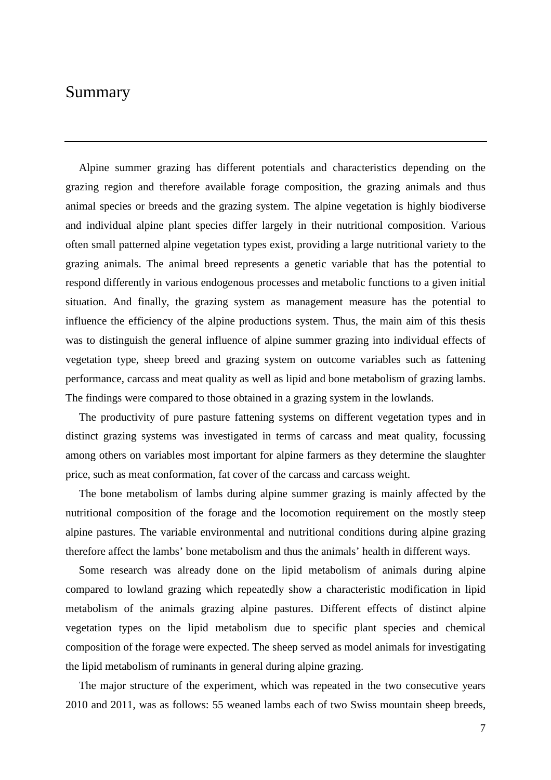## Summary

Alpine summer grazing has different potentials and characteristics depending on the grazing region and therefore available forage composition, the grazing animals and thus animal species or breeds and the grazing system. The alpine vegetation is highly biodiverse and individual alpine plant species differ largely in their nutritional composition. Various often small patterned alpine vegetation types exist, providing a large nutritional variety to the grazing animals. The animal breed represents a genetic variable that has the potential to respond differently in various endogenous processes and metabolic functions to a given initial situation. And finally, the grazing system as management measure has the potential to influence the efficiency of the alpine productions system. Thus, the main aim of this thesis was to distinguish the general influence of alpine summer grazing into individual effects of vegetation type, sheep breed and grazing system on outcome variables such as fattening performance, carcass and meat quality as well as lipid and bone metabolism of grazing lambs. The findings were compared to those obtained in a grazing system in the lowlands.

The productivity of pure pasture fattening systems on different vegetation types and in distinct grazing systems was investigated in terms of carcass and meat quality, focussing among others on variables most important for alpine farmers as they determine the slaughter price, such as meat conformation, fat cover of the carcass and carcass weight.

The bone metabolism of lambs during alpine summer grazing is mainly affected by the nutritional composition of the forage and the locomotion requirement on the mostly steep alpine pastures. The variable environmental and nutritional conditions during alpine grazing therefore affect the lambs' bone metabolism and thus the animals' health in different ways.

Some research was already done on the lipid metabolism of animals during alpine compared to lowland grazing which repeatedly show a characteristic modification in lipid metabolism of the animals grazing alpine pastures. Different effects of distinct alpine vegetation types on the lipid metabolism due to specific plant species and chemical composition of the forage were expected. The sheep served as model animals for investigating the lipid metabolism of ruminants in general during alpine grazing.

The major structure of the experiment, which was repeated in the two consecutive years 2010 and 2011, was as follows: 55 weaned lambs each of two Swiss mountain sheep breeds,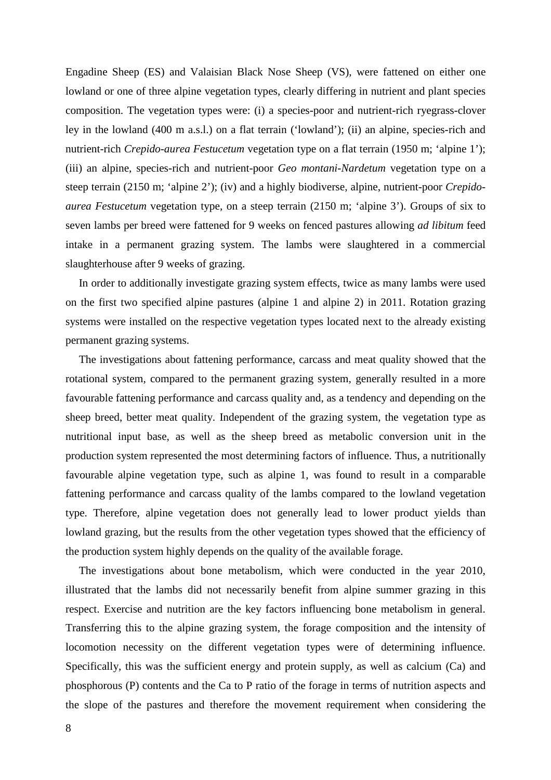Engadine Sheep (ES) and Valaisian Black Nose Sheep (VS), were fattened on either one lowland or one of three alpine vegetation types, clearly differing in nutrient and plant species composition. The vegetation types were: (i) a species-poor and nutrient-rich ryegrass-clover ley in the lowland (400 m a.s.l.) on a flat terrain ('lowland'); (ii) an alpine, species-rich and nutrient-rich *Crepido-aurea Festucetum* vegetation type on a flat terrain (1950 m; 'alpine 1'); (iii) an alpine, species-rich and nutrient-poor *Geo montani-Nardetum* vegetation type on a steep terrain (2150 m; 'alpine 2'); (iv) and a highly biodiverse, alpine, nutrient-poor *Crepidoaurea Festucetum* vegetation type, on a steep terrain (2150 m; 'alpine 3'). Groups of six to seven lambs per breed were fattened for 9 weeks on fenced pastures allowing *ad libitum* feed intake in a permanent grazing system. The lambs were slaughtered in a commercial slaughterhouse after 9 weeks of grazing.

In order to additionally investigate grazing system effects, twice as many lambs were used on the first two specified alpine pastures (alpine 1 and alpine 2) in 2011. Rotation grazing systems were installed on the respective vegetation types located next to the already existing permanent grazing systems.

The investigations about fattening performance, carcass and meat quality showed that the rotational system, compared to the permanent grazing system, generally resulted in a more favourable fattening performance and carcass quality and, as a tendency and depending on the sheep breed, better meat quality. Independent of the grazing system, the vegetation type as nutritional input base, as well as the sheep breed as metabolic conversion unit in the production system represented the most determining factors of influence. Thus, a nutritionally favourable alpine vegetation type, such as alpine 1, was found to result in a comparable fattening performance and carcass quality of the lambs compared to the lowland vegetation type. Therefore, alpine vegetation does not generally lead to lower product yields than lowland grazing, but the results from the other vegetation types showed that the efficiency of the production system highly depends on the quality of the available forage.

The investigations about bone metabolism, which were conducted in the year 2010, illustrated that the lambs did not necessarily benefit from alpine summer grazing in this respect. Exercise and nutrition are the key factors influencing bone metabolism in general. Transferring this to the alpine grazing system, the forage composition and the intensity of locomotion necessity on the different vegetation types were of determining influence. Specifically, this was the sufficient energy and protein supply, as well as calcium (Ca) and phosphorous (P) contents and the Ca to P ratio of the forage in terms of nutrition aspects and the slope of the pastures and therefore the movement requirement when considering the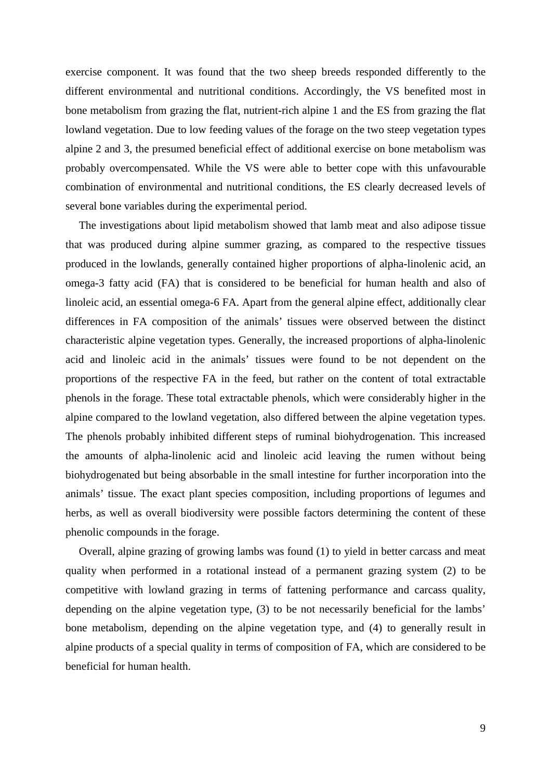exercise component. It was found that the two sheep breeds responded differently to the different environmental and nutritional conditions. Accordingly, the VS benefited most in bone metabolism from grazing the flat, nutrient-rich alpine 1 and the ES from grazing the flat lowland vegetation. Due to low feeding values of the forage on the two steep vegetation types alpine 2 and 3, the presumed beneficial effect of additional exercise on bone metabolism was probably overcompensated. While the VS were able to better cope with this unfavourable combination of environmental and nutritional conditions, the ES clearly decreased levels of several bone variables during the experimental period.

The investigations about lipid metabolism showed that lamb meat and also adipose tissue that was produced during alpine summer grazing, as compared to the respective tissues produced in the lowlands, generally contained higher proportions of alpha-linolenic acid, an omega-3 fatty acid (FA) that is considered to be beneficial for human health and also of linoleic acid, an essential omega-6 FA. Apart from the general alpine effect, additionally clear differences in FA composition of the animals' tissues were observed between the distinct characteristic alpine vegetation types. Generally, the increased proportions of alpha-linolenic acid and linoleic acid in the animals' tissues were found to be not dependent on the proportions of the respective FA in the feed, but rather on the content of total extractable phenols in the forage. These total extractable phenols, which were considerably higher in the alpine compared to the lowland vegetation, also differed between the alpine vegetation types. The phenols probably inhibited different steps of ruminal biohydrogenation. This increased the amounts of alpha-linolenic acid and linoleic acid leaving the rumen without being biohydrogenated but being absorbable in the small intestine for further incorporation into the animals' tissue. The exact plant species composition, including proportions of legumes and herbs, as well as overall biodiversity were possible factors determining the content of these phenolic compounds in the forage.

Overall, alpine grazing of growing lambs was found (1) to yield in better carcass and meat quality when performed in a rotational instead of a permanent grazing system (2) to be competitive with lowland grazing in terms of fattening performance and carcass quality, depending on the alpine vegetation type, (3) to be not necessarily beneficial for the lambs' bone metabolism, depending on the alpine vegetation type, and (4) to generally result in alpine products of a special quality in terms of composition of FA, which are considered to be beneficial for human health.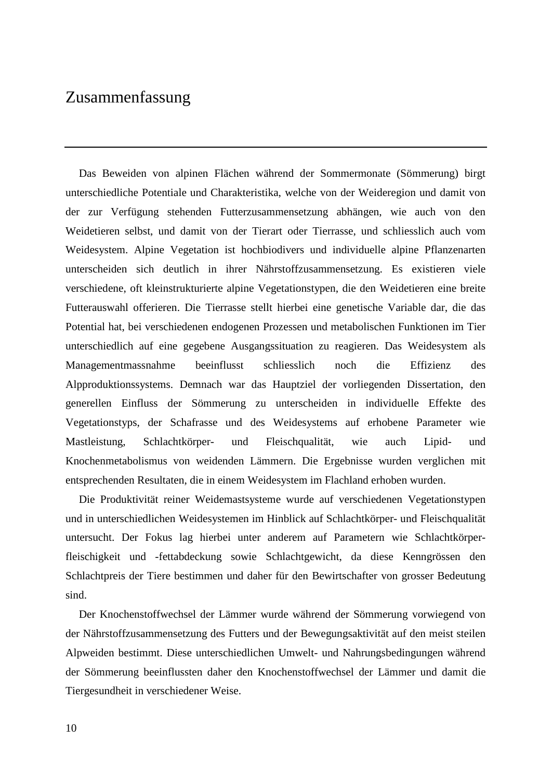## Zusammenfassung

Das Beweiden von alpinen Flächen während der Sommermonate (Sömmerung) birgt unterschiedliche Potentiale und Charakteristika, welche von der Weideregion und damit von der zur Verfügung stehenden Futterzusammensetzung abhängen, wie auch von den Weidetieren selbst, und damit von der Tierart oder Tierrasse, und schliesslich auch vom Weidesystem. Alpine Vegetation ist hochbiodivers und individuelle alpine Pflanzenarten unterscheiden sich deutlich in ihrer Nährstoffzusammensetzung. Es existieren viele verschiedene, oft kleinstrukturierte alpine Vegetationstypen, die den Weidetieren eine breite Futterauswahl offerieren. Die Tierrasse stellt hierbei eine genetische Variable dar, die das Potential hat, bei verschiedenen endogenen Prozessen und metabolischen Funktionen im Tier unterschiedlich auf eine gegebene Ausgangssituation zu reagieren. Das Weidesystem als Managementmassnahme beeinflusst schliesslich noch die Effizienz des Alpproduktionssystems. Demnach war das Hauptziel der vorliegenden Dissertation, den generellen Einfluss der Sömmerung zu unterscheiden in individuelle Effekte des Vegetationstyps, der Schafrasse und des Weidesystems auf erhobene Parameter wie Mastleistung, Schlachtkörper- und Fleischqualität, wie auch Lipid- und Knochenmetabolismus von weidenden Lämmern. Die Ergebnisse wurden verglichen mit entsprechenden Resultaten, die in einem Weidesystem im Flachland erhoben wurden.

Die Produktivität reiner Weidemastsysteme wurde auf verschiedenen Vegetationstypen und in unterschiedlichen Weidesystemen im Hinblick auf Schlachtkörper- und Fleischqualität untersucht. Der Fokus lag hierbei unter anderem auf Parametern wie Schlachtkörperfleischigkeit und -fettabdeckung sowie Schlachtgewicht, da diese Kenngrössen den Schlachtpreis der Tiere bestimmen und daher für den Bewirtschafter von grosser Bedeutung sind.

Der Knochenstoffwechsel der Lämmer wurde während der Sömmerung vorwiegend von der Nährstoffzusammensetzung des Futters und der Bewegungsaktivität auf den meist steilen Alpweiden bestimmt. Diese unterschiedlichen Umwelt- und Nahrungsbedingungen während der Sömmerung beeinflussten daher den Knochenstoffwechsel der Lämmer und damit die Tiergesundheit in verschiedener Weise.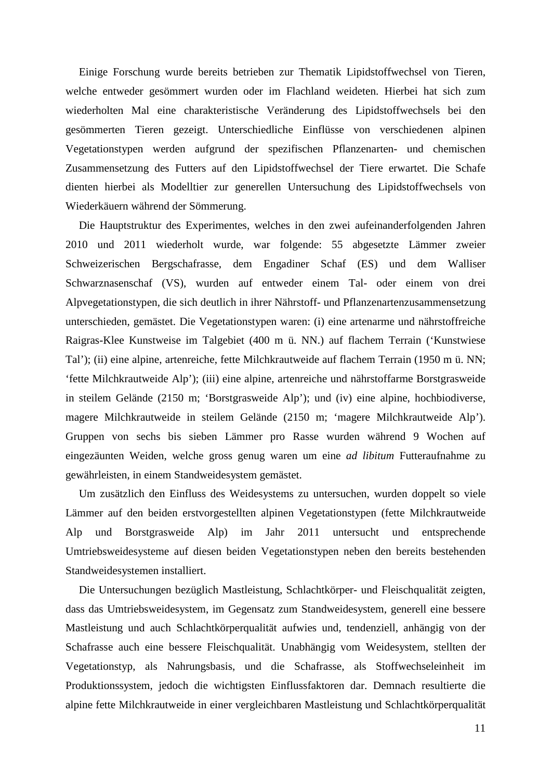Einige Forschung wurde bereits betrieben zur Thematik Lipidstoffwechsel von Tieren, welche entweder gesömmert wurden oder im Flachland weideten. Hierbei hat sich zum wiederholten Mal eine charakteristische Veränderung des Lipidstoffwechsels bei den gesömmerten Tieren gezeigt. Unterschiedliche Einflüsse von verschiedenen alpinen Vegetationstypen werden aufgrund der spezifischen Pflanzenarten- und chemischen Zusammensetzung des Futters auf den Lipidstoffwechsel der Tiere erwartet. Die Schafe dienten hierbei als Modelltier zur generellen Untersuchung des Lipidstoffwechsels von Wiederkäuern während der Sömmerung.

Die Hauptstruktur des Experimentes, welches in den zwei aufeinanderfolgenden Jahren 2010 und 2011 wiederholt wurde, war folgende: 55 abgesetzte Lämmer zweier Schweizerischen Bergschafrasse, dem Engadiner Schaf (ES) und dem Walliser Schwarznasenschaf (VS), wurden auf entweder einem Tal- oder einem von drei Alpvegetationstypen, die sich deutlich in ihrer Nährstoff- und Pflanzenartenzusammensetzung unterschieden, gemästet. Die Vegetationstypen waren: (i) eine artenarme und nährstoffreiche Raigras-Klee Kunstweise im Talgebiet (400 m ü. NN.) auf flachem Terrain ('Kunstwiese Tal'); (ii) eine alpine, artenreiche, fette Milchkrautweide auf flachem Terrain (1950 m ü. NN; 'fette Milchkrautweide Alp'); (iii) eine alpine, artenreiche und nährstoffarme Borstgrasweide in steilem Gelände (2150 m; 'Borstgrasweide Alp'); und (iv) eine alpine, hochbiodiverse, magere Milchkrautweide in steilem Gelände (2150 m; 'magere Milchkrautweide Alp'). Gruppen von sechs bis sieben Lämmer pro Rasse wurden während 9 Wochen auf eingezäunten Weiden, welche gross genug waren um eine *ad libitum* Futteraufnahme zu gewährleisten, in einem Standweidesystem gemästet.

Um zusätzlich den Einfluss des Weidesystems zu untersuchen, wurden doppelt so viele Lämmer auf den beiden erstvorgestellten alpinen Vegetationstypen (fette Milchkrautweide Alp und Borstgrasweide Alp) im Jahr 2011 untersucht und entsprechende Umtriebsweidesysteme auf diesen beiden Vegetationstypen neben den bereits bestehenden Standweidesystemen installiert.

Die Untersuchungen bezüglich Mastleistung, Schlachtkörper- und Fleischqualität zeigten, dass das Umtriebsweidesystem, im Gegensatz zum Standweidesystem, generell eine bessere Mastleistung und auch Schlachtkörperqualität aufwies und, tendenziell, anhängig von der Schafrasse auch eine bessere Fleischqualität. Unabhängig vom Weidesystem, stellten der Vegetationstyp, als Nahrungsbasis, und die Schafrasse, als Stoffwechseleinheit im Produktionssystem, jedoch die wichtigsten Einflussfaktoren dar. Demnach resultierte die alpine fette Milchkrautweide in einer vergleichbaren Mastleistung und Schlachtkörperqualität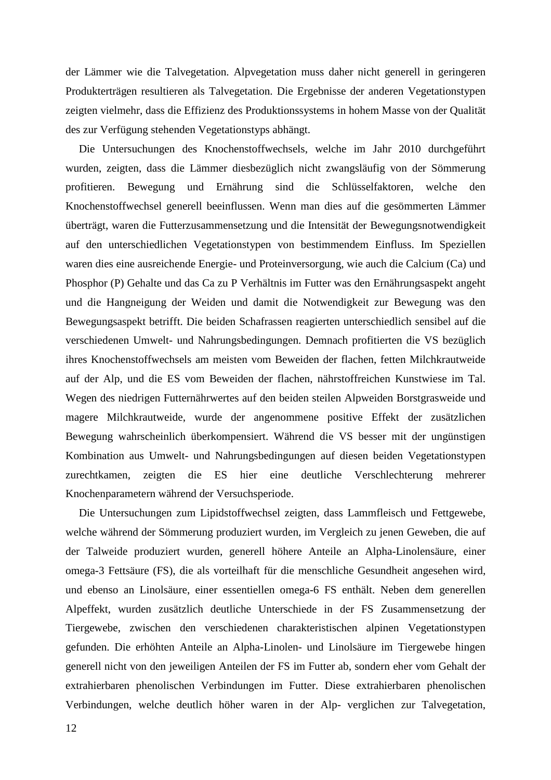der Lämmer wie die Talvegetation. Alpvegetation muss daher nicht generell in geringeren Produkterträgen resultieren als Talvegetation. Die Ergebnisse der anderen Vegetationstypen zeigten vielmehr, dass die Effizienz des Produktionssystems in hohem Masse von der Qualität des zur Verfügung stehenden Vegetationstyps abhängt.

Die Untersuchungen des Knochenstoffwechsels, welche im Jahr 2010 durchgeführt wurden, zeigten, dass die Lämmer diesbezüglich nicht zwangsläufig von der Sömmerung profitieren. Bewegung und Ernährung sind die Schlüsselfaktoren, welche den Knochenstoffwechsel generell beeinflussen. Wenn man dies auf die gesömmerten Lämmer überträgt, waren die Futterzusammensetzung und die Intensität der Bewegungsnotwendigkeit auf den unterschiedlichen Vegetationstypen von bestimmendem Einfluss. Im Speziellen waren dies eine ausreichende Energie- und Proteinversorgung, wie auch die Calcium (Ca) und Phosphor (P) Gehalte und das Ca zu P Verhältnis im Futter was den Ernährungsaspekt angeht und die Hangneigung der Weiden und damit die Notwendigkeit zur Bewegung was den Bewegungsaspekt betrifft. Die beiden Schafrassen reagierten unterschiedlich sensibel auf die verschiedenen Umwelt- und Nahrungsbedingungen. Demnach profitierten die VS bezüglich ihres Knochenstoffwechsels am meisten vom Beweiden der flachen, fetten Milchkrautweide auf der Alp, und die ES vom Beweiden der flachen, nährstoffreichen Kunstwiese im Tal. Wegen des niedrigen Futternährwertes auf den beiden steilen Alpweiden Borstgrasweide und magere Milchkrautweide, wurde der angenommene positive Effekt der zusätzlichen Bewegung wahrscheinlich überkompensiert. Während die VS besser mit der ungünstigen Kombination aus Umwelt- und Nahrungsbedingungen auf diesen beiden Vegetationstypen zurechtkamen, zeigten die ES hier eine deutliche Verschlechterung mehrerer Knochenparametern während der Versuchsperiode.

Die Untersuchungen zum Lipidstoffwechsel zeigten, dass Lammfleisch und Fettgewebe, welche während der Sömmerung produziert wurden, im Vergleich zu jenen Geweben, die auf der Talweide produziert wurden, generell höhere Anteile an Alpha-Linolensäure, einer omega-3 Fettsäure (FS), die als vorteilhaft für die menschliche Gesundheit angesehen wird, und ebenso an Linolsäure, einer essentiellen omega-6 FS enthält. Neben dem generellen Alpeffekt, wurden zusätzlich deutliche Unterschiede in der FS Zusammensetzung der Tiergewebe, zwischen den verschiedenen charakteristischen alpinen Vegetationstypen gefunden. Die erhöhten Anteile an Alpha-Linolen- und Linolsäure im Tiergewebe hingen generell nicht von den jeweiligen Anteilen der FS im Futter ab, sondern eher vom Gehalt der extrahierbaren phenolischen Verbindungen im Futter. Diese extrahierbaren phenolischen Verbindungen, welche deutlich höher waren in der Alp- verglichen zur Talvegetation,